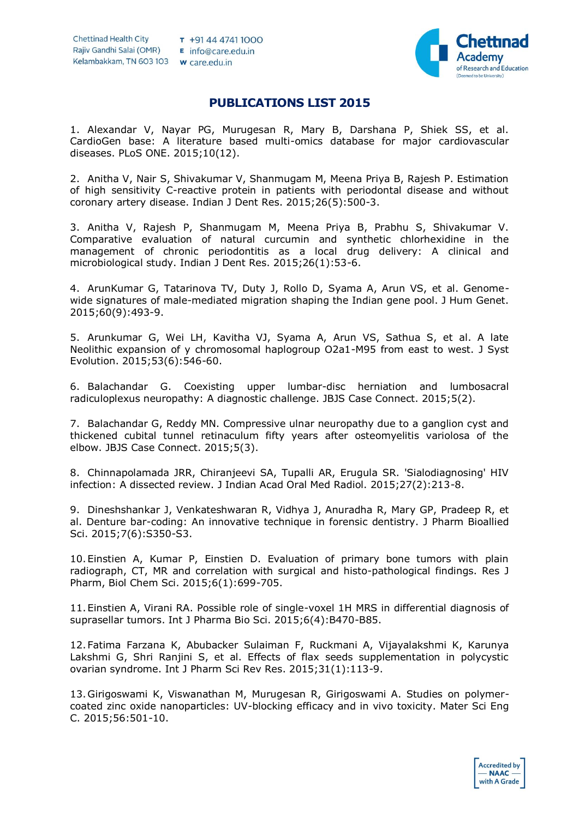

## **PUBLICATIONS LIST 2015**

1. Alexandar V, Nayar PG, Murugesan R, Mary B, Darshana P, Shiek SS, et al. CardioGen base: A literature based multi-omics database for major cardiovascular diseases. PLoS ONE. 2015;10(12).

2. Anitha V, Nair S, Shivakumar V, Shanmugam M, Meena Priya B, Rajesh P. Estimation of high sensitivity C-reactive protein in patients with periodontal disease and without coronary artery disease. Indian J Dent Res. 2015;26(5):500-3.

3. Anitha V, Rajesh P, Shanmugam M, Meena Priya B, Prabhu S, Shivakumar V. Comparative evaluation of natural curcumin and synthetic chlorhexidine in the management of chronic periodontitis as a local drug delivery: A clinical and microbiological study. Indian J Dent Res. 2015;26(1):53-6.

4. ArunKumar G, Tatarinova TV, Duty J, Rollo D, Syama A, Arun VS, et al. Genomewide signatures of male-mediated migration shaping the Indian gene pool. J Hum Genet. 2015;60(9):493-9.

5. Arunkumar G, Wei LH, Kavitha VJ, Syama A, Arun VS, Sathua S, et al. A late Neolithic expansion of y chromosomal haplogroup O2a1-M95 from east to west. J Syst Evolution. 2015;53(6):546-60.

6. Balachandar G. Coexisting upper lumbar-disc herniation and lumbosacral radiculoplexus neuropathy: A diagnostic challenge. JBJS Case Connect. 2015;5(2).

7. Balachandar G, Reddy MN. Compressive ulnar neuropathy due to a ganglion cyst and thickened cubital tunnel retinaculum fifty years after osteomyelitis variolosa of the elbow. JBJS Case Connect. 2015;5(3).

8. Chinnapolamada JRR, Chiranjeevi SA, Tupalli AR, Erugula SR. 'Sialodiagnosing' HIV infection: A dissected review. J Indian Acad Oral Med Radiol. 2015;27(2):213-8.

9. Dineshshankar J, Venkateshwaran R, Vidhya J, Anuradha R, Mary GP, Pradeep R, et al. Denture bar-coding: An innovative technique in forensic dentistry. J Pharm Bioallied Sci. 2015;7(6):S350-S3.

10.Einstien A, Kumar P, Einstien D. Evaluation of primary bone tumors with plain radiograph, CT, MR and correlation with surgical and histo-pathological findings. Res J Pharm, Biol Chem Sci. 2015;6(1):699-705.

11.Einstien A, Virani RA. Possible role of single-voxel 1H MRS in differential diagnosis of suprasellar tumors. Int J Pharma Bio Sci. 2015;6(4):B470-B85.

12.Fatima Farzana K, Abubacker Sulaiman F, Ruckmani A, Vijayalakshmi K, Karunya Lakshmi G, Shri Ranjini S, et al. Effects of flax seeds supplementation in polycystic ovarian syndrome. Int J Pharm Sci Rev Res. 2015;31(1):113-9.

13.Girigoswami K, Viswanathan M, Murugesan R, Girigoswami A. Studies on polymercoated zinc oxide nanoparticles: UV-blocking efficacy and in vivo toxicity. Mater Sci Eng C. 2015;56:501-10.

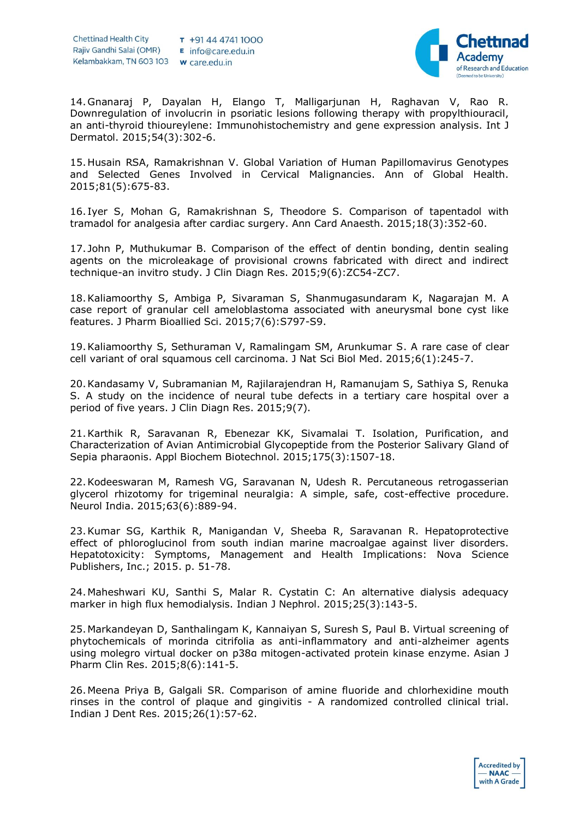

14.Gnanaraj P, Dayalan H, Elango T, Malligarjunan H, Raghavan V, Rao R. Downregulation of involucrin in psoriatic lesions following therapy with propylthiouracil, an anti-thyroid thioureylene: Immunohistochemistry and gene expression analysis. Int J Dermatol. 2015;54(3):302-6.

15.Husain RSA, Ramakrishnan V. Global Variation of Human Papillomavirus Genotypes and Selected Genes Involved in Cervical Malignancies. Ann of Global Health. 2015;81(5):675-83.

16. Iyer S, Mohan G, Ramakrishnan S, Theodore S. Comparison of tapentadol with tramadol for analgesia after cardiac surgery. Ann Card Anaesth. 2015;18(3):352-60.

17. John P, Muthukumar B. Comparison of the effect of dentin bonding, dentin sealing agents on the microleakage of provisional crowns fabricated with direct and indirect technique-an invitro study. J Clin Diagn Res. 2015;9(6):ZC54-ZC7.

18.Kaliamoorthy S, Ambiga P, Sivaraman S, Shanmugasundaram K, Nagarajan M. A case report of granular cell ameloblastoma associated with aneurysmal bone cyst like features. J Pharm Bioallied Sci. 2015;7(6):S797-S9.

19.Kaliamoorthy S, Sethuraman V, Ramalingam SM, Arunkumar S. A rare case of clear cell variant of oral squamous cell carcinoma. J Nat Sci Biol Med. 2015;6(1):245-7.

20.Kandasamy V, Subramanian M, Rajilarajendran H, Ramanujam S, Sathiya S, Renuka S. A study on the incidence of neural tube defects in a tertiary care hospital over a period of five years. J Clin Diagn Res. 2015;9(7).

21.Karthik R, Saravanan R, Ebenezar KK, Sivamalai T. Isolation, Purification, and Characterization of Avian Antimicrobial Glycopeptide from the Posterior Salivary Gland of Sepia pharaonis. Appl Biochem Biotechnol. 2015;175(3):1507-18.

22.Kodeeswaran M, Ramesh VG, Saravanan N, Udesh R. Percutaneous retrogasserian glycerol rhizotomy for trigeminal neuralgia: A simple, safe, cost-effective procedure. Neurol India. 2015;63(6):889-94.

23.Kumar SG, Karthik R, Manigandan V, Sheeba R, Saravanan R. Hepatoprotective effect of phloroglucinol from south indian marine macroalgae against liver disorders. Hepatotoxicity: Symptoms, Management and Health Implications: Nova Science Publishers, Inc.; 2015. p. 51-78.

24.Maheshwari KU, Santhi S, Malar R. Cystatin C: An alternative dialysis adequacy marker in high flux hemodialysis. Indian J Nephrol. 2015;25(3):143-5.

25.Markandeyan D, Santhalingam K, Kannaiyan S, Suresh S, Paul B. Virtual screening of phytochemicals of morinda citrifolia as anti-inflammatory and anti-alzheimer agents using molegro virtual docker on p38α mitogen-activated protein kinase enzyme. Asian J Pharm Clin Res. 2015;8(6):141-5.

26.Meena Priya B, Galgali SR. Comparison of amine fluoride and chlorhexidine mouth rinses in the control of plaque and gingivitis - A randomized controlled clinical trial. Indian J Dent Res. 2015;26(1):57-62.

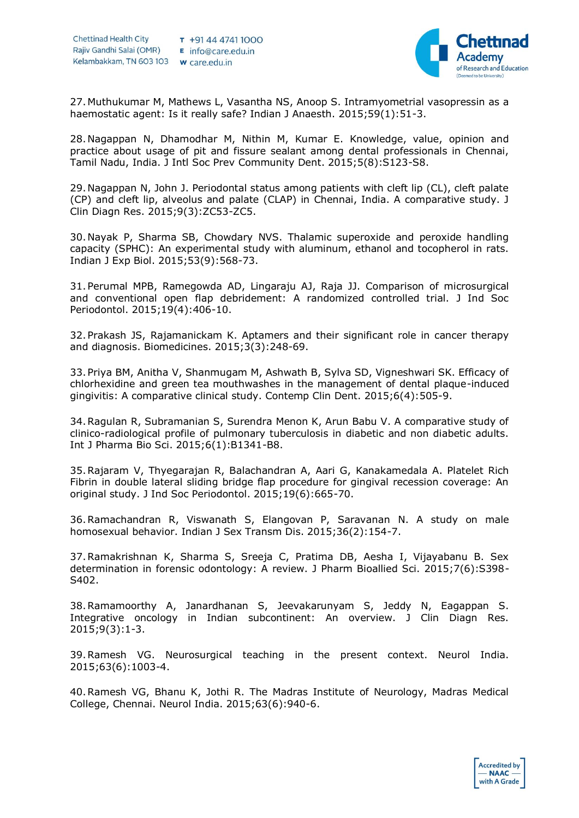

27.Muthukumar M, Mathews L, Vasantha NS, Anoop S. Intramyometrial vasopressin as a haemostatic agent: Is it really safe? Indian J Anaesth. 2015;59(1):51-3.

28.Nagappan N, Dhamodhar M, Nithin M, Kumar E. Knowledge, value, opinion and practice about usage of pit and fissure sealant among dental professionals in Chennai, Tamil Nadu, India. J Intl Soc Prev Community Dent. 2015;5(8):S123-S8.

29.Nagappan N, John J. Periodontal status among patients with cleft lip (CL), cleft palate (CP) and cleft lip, alveolus and palate (CLAP) in Chennai, India. A comparative study. J Clin Diagn Res. 2015;9(3):ZC53-ZC5.

30.Nayak P, Sharma SB, Chowdary NVS. Thalamic superoxide and peroxide handling capacity (SPHC): An experimental study with aluminum, ethanol and tocopherol in rats. Indian J Exp Biol. 2015;53(9):568-73.

31.Perumal MPB, Ramegowda AD, Lingaraju AJ, Raja JJ. Comparison of microsurgical and conventional open flap debridement: A randomized controlled trial. J Ind Soc Periodontol. 2015;19(4):406-10.

32.Prakash JS, Rajamanickam K. Aptamers and their significant role in cancer therapy and diagnosis. Biomedicines. 2015;3(3):248-69.

33.Priya BM, Anitha V, Shanmugam M, Ashwath B, Sylva SD, Vigneshwari SK. Efficacy of chlorhexidine and green tea mouthwashes in the management of dental plaque-induced gingivitis: A comparative clinical study. Contemp Clin Dent. 2015;6(4):505-9.

34.Ragulan R, Subramanian S, Surendra Menon K, Arun Babu V. A comparative study of clinico-radiological profile of pulmonary tuberculosis in diabetic and non diabetic adults. Int J Pharma Bio Sci. 2015;6(1):B1341-B8.

35.Rajaram V, Thyegarajan R, Balachandran A, Aari G, Kanakamedala A. Platelet Rich Fibrin in double lateral sliding bridge flap procedure for gingival recession coverage: An original study. J Ind Soc Periodontol. 2015;19(6):665-70.

36.Ramachandran R, Viswanath S, Elangovan P, Saravanan N. A study on male homosexual behavior. Indian J Sex Transm Dis. 2015;36(2):154-7.

37.Ramakrishnan K, Sharma S, Sreeja C, Pratima DB, Aesha I, Vijayabanu B. Sex determination in forensic odontology: A review. J Pharm Bioallied Sci. 2015;7(6):S398- S402.

38.Ramamoorthy A, Janardhanan S, Jeevakarunyam S, Jeddy N, Eagappan S. Integrative oncology in Indian subcontinent: An overview. J Clin Diagn Res. 2015;9(3):1-3.

39.Ramesh VG. Neurosurgical teaching in the present context. Neurol India. 2015;63(6):1003-4.

40.Ramesh VG, Bhanu K, Jothi R. The Madras Institute of Neurology, Madras Medical College, Chennai. Neurol India. 2015;63(6):940-6.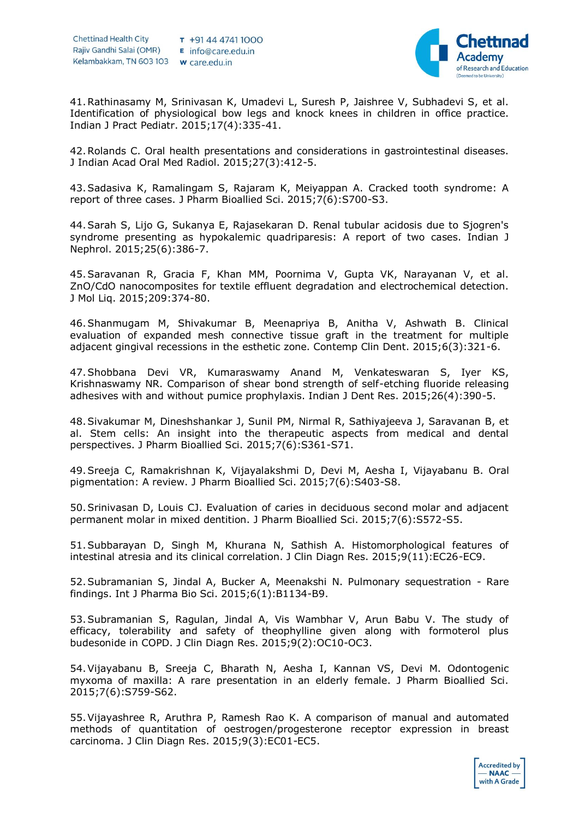

41.Rathinasamy M, Srinivasan K, Umadevi L, Suresh P, Jaishree V, Subhadevi S, et al. Identification of physiological bow legs and knock knees in children in office practice. Indian J Pract Pediatr. 2015;17(4):335-41.

42.Rolands C. Oral health presentations and considerations in gastrointestinal diseases. J Indian Acad Oral Med Radiol. 2015;27(3):412-5.

43.Sadasiva K, Ramalingam S, Rajaram K, Meiyappan A. Cracked tooth syndrome: A report of three cases. J Pharm Bioallied Sci. 2015;7(6):S700-S3.

44.Sarah S, Lijo G, Sukanya E, Rajasekaran D. Renal tubular acidosis due to Sjogren's syndrome presenting as hypokalemic quadriparesis: A report of two cases. Indian J Nephrol. 2015;25(6):386-7.

45.Saravanan R, Gracia F, Khan MM, Poornima V, Gupta VK, Narayanan V, et al. ZnO/CdO nanocomposites for textile effluent degradation and electrochemical detection. J Mol Liq. 2015;209:374-80.

46.Shanmugam M, Shivakumar B, Meenapriya B, Anitha V, Ashwath B. Clinical evaluation of expanded mesh connective tissue graft in the treatment for multiple adjacent gingival recessions in the esthetic zone. Contemp Clin Dent. 2015;6(3):321-6.

47.Shobbana Devi VR, Kumaraswamy Anand M, Venkateswaran S, Iyer KS, Krishnaswamy NR. Comparison of shear bond strength of self-etching fluoride releasing adhesives with and without pumice prophylaxis. Indian J Dent Res. 2015;26(4):390-5.

48.Sivakumar M, Dineshshankar J, Sunil PM, Nirmal R, Sathiyajeeva J, Saravanan B, et al. Stem cells: An insight into the therapeutic aspects from medical and dental perspectives. J Pharm Bioallied Sci. 2015;7(6):S361-S71.

49.Sreeja C, Ramakrishnan K, Vijayalakshmi D, Devi M, Aesha I, Vijayabanu B. Oral pigmentation: A review. J Pharm Bioallied Sci. 2015;7(6):S403-S8.

50.Srinivasan D, Louis CJ. Evaluation of caries in deciduous second molar and adjacent permanent molar in mixed dentition. J Pharm Bioallied Sci. 2015;7(6):S572-S5.

51.Subbarayan D, Singh M, Khurana N, Sathish A. Histomorphological features of intestinal atresia and its clinical correlation. J Clin Diagn Res. 2015;9(11):EC26-EC9.

52.Subramanian S, Jindal A, Bucker A, Meenakshi N. Pulmonary sequestration - Rare findings. Int J Pharma Bio Sci. 2015;6(1):B1134-B9.

53.Subramanian S, Ragulan, Jindal A, Vis Wambhar V, Arun Babu V. The study of efficacy, tolerability and safety of theophylline given along with formoterol plus budesonide in COPD. J Clin Diagn Res. 2015;9(2):OC10-OC3.

54.Vijayabanu B, Sreeja C, Bharath N, Aesha I, Kannan VS, Devi M. Odontogenic myxoma of maxilla: A rare presentation in an elderly female. J Pharm Bioallied Sci. 2015;7(6):S759-S62.

55.Vijayashree R, Aruthra P, Ramesh Rao K. A comparison of manual and automated methods of quantitation of oestrogen/progesterone receptor expression in breast carcinoma. J Clin Diagn Res. 2015;9(3):EC01-EC5.